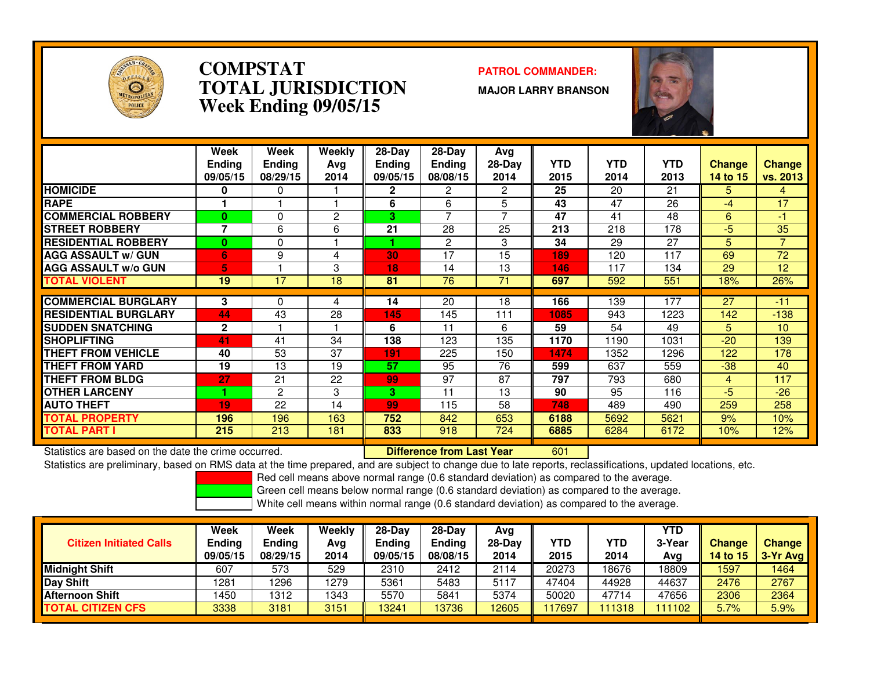

### **COMPSTAT PATROL COMMANDER: TOTAL JURISDICTIONWeek Ending 09/05/15**

**MAJOR LARRY BRANSON**



|                             | Week<br><b>Ending</b><br>09/05/15 | Week<br><b>Ending</b><br>08/29/15 | Weekly<br>Ava<br>2014 | $28-Dav$<br><b>Ending</b><br>09/05/15 | $28$ -Day<br>Ending<br>08/08/15 | Avg<br>$28-Day$<br>2014 | <b>YTD</b><br>2015 | <b>YTD</b><br>2014 | <b>YTD</b><br>2013 | <b>Change</b><br>14 to 15 | <b>Change</b><br>vs. 2013 |
|-----------------------------|-----------------------------------|-----------------------------------|-----------------------|---------------------------------------|---------------------------------|-------------------------|--------------------|--------------------|--------------------|---------------------------|---------------------------|
| <b>HOMICIDE</b>             | 0                                 | 0                                 |                       | $\mathbf{2}$                          | 2                               | $\overline{2}$          | 25                 | 20                 | 21                 | 5.                        | 4                         |
| <b>RAPE</b>                 |                                   |                                   |                       | 6                                     | 6                               | 5                       | 43                 | 47                 | 26                 | -4                        | 17                        |
| <b>COMMERCIAL ROBBERY</b>   | $\mathbf{0}$                      | 0                                 | 2                     | 3                                     | ⇁                               | $\overline{ }$          | 47                 | 41                 | 48                 | 6                         | $-1$                      |
| <b>STREET ROBBERY</b>       | 7                                 | 6                                 | 6                     | 21                                    | 28                              | 25                      | 213                | 218                | 178                | $-5$                      | 35                        |
| <b>RESIDENTIAL ROBBERY</b>  | $\mathbf{0}$                      | 0                                 |                       |                                       | 2                               | 3                       | 34                 | 29                 | 27                 | 5.                        | $\overline{7}$            |
| <b>AGG ASSAULT w/ GUN</b>   | 6                                 | 9                                 | 4                     | 30                                    | 17                              | 15                      | 189                | 120                | 117                | 69                        | $\overline{72}$           |
| <b>AGG ASSAULT w/o GUN</b>  | 5.                                |                                   | 3                     | 18                                    | 14                              | 13                      | 146                | 117                | 134                | 29                        | 12                        |
| <b>TOTAL VIOLENT</b>        | 19                                | 17                                | 18                    | 81                                    | 76                              | 71                      | 697                | 592                | 551                | 18%                       | 26%                       |
|                             |                                   |                                   |                       |                                       |                                 |                         |                    |                    |                    |                           |                           |
| <b>COMMERCIAL BURGLARY</b>  | 3                                 | 0                                 | 4                     | 14                                    | 20                              | 18                      | 166                | 139                | 177                | 27                        | $-11$                     |
| <b>RESIDENTIAL BURGLARY</b> | 44                                | 43                                | 28                    | 145                                   | 145                             | 111                     | 1085               | 943                | 1223               | 142                       | $-138$                    |
| <b>SUDDEN SNATCHING</b>     | $\mathbf{2}$                      |                                   |                       | 6                                     | 11                              | 6                       | 59                 | 54                 | 49                 | 5.                        | 10                        |
| <b>SHOPLIFTING</b>          | 41                                | 41                                | 34                    | 138                                   | 123                             | 135                     | 1170               | 1190               | 1031               | $-20$                     | 139                       |
| <b>THEFT FROM VEHICLE</b>   | 40                                | 53                                | 37                    | 191                                   | 225                             | 150                     | 1474               | 1352               | 1296               | 122                       | 178                       |
| <b>THEFT FROM YARD</b>      | 19                                | 13                                | 19                    | 57                                    | 95                              | 76                      | 599                | 637                | 559                | $-38$                     | 40                        |
| <b>THEFT FROM BLDG</b>      | 27                                | 21                                | 22                    | 99                                    | 97                              | 87                      | 797                | 793                | 680                | 4                         | 117                       |
| <b>OTHER LARCENY</b>        |                                   | 2                                 | 3                     | 3                                     | 11                              | 13                      | 90                 | 95                 | 116                | $-5$                      | $-26$                     |
| <b>AUTO THEFT</b>           | 19                                | 22                                | 14                    | 99                                    | 115                             | 58                      | 748                | 489                | 490                | 259                       | 258                       |
| TOTAL PROPERTY              | 196                               | 196                               | 163                   | 752                                   | 842                             | 653                     | 6188               | 5692               | 5621               | 9%                        | 10%                       |
| <b>TOTAL PART I</b>         | 215                               | 213                               | 181                   | 833                                   | 918                             | 724                     | 6885               | 6284               | 6172               | 10%                       | 12%                       |

Statistics are based on the date the crime occurred. **Difference from Last Year** 

Statistics are based on the date the crime occurred. **Extended Lubber 10 Difference from Last Year Norm 1601 Li**<br>Statistics are preliminary, based on RMS data at the time prepared, and are subject to change due to late rep

Red cell means above normal range (0.6 standard deviation) as compared to the average.

Green cell means below normal range (0.6 standard deviation) as compared to the average.

| <b>Citizen Initiated Calls</b> | Week<br>Ending<br>09/05/15 | <b>Week</b><br>Ending<br>08/29/15 | Weekly<br>Avg<br>2014 | $28-Dav$<br>Ending<br>09/05/15 | $28-Day$<br><b>Ending</b><br>08/08/15 | Avg<br>$28-Day$<br>2014 | YTD<br>2015 | YTD<br>2014 | <b>YTD</b><br>3-Year<br>Avg | <b>Change</b><br>14 to $15$ | <b>Change</b><br>$3-Yr$ Avg |
|--------------------------------|----------------------------|-----------------------------------|-----------------------|--------------------------------|---------------------------------------|-------------------------|-------------|-------------|-----------------------------|-----------------------------|-----------------------------|
| Midniaht Shift                 | 607                        | 573                               | 529                   | 2310                           | 2412                                  | 2114                    | 20273       | 8676        | 18809                       | 1597                        | 1464                        |
| Day Shift                      | 1281                       | 1296                              | 1279                  | 5361                           | 5483                                  | 5117                    | 47404       | 44928       | 44637                       | 2476                        | 2767                        |
| <b>Afternoon Shift</b>         | 450                        | 1312                              | 1343                  | 5570                           | 5841                                  | 5374                    | 50020       | 47714       | 47656                       | 2306                        | 2364                        |
| <b>TOTAL CITIZEN CFS</b>       | 3338                       | 3181                              | 3151                  | 13241                          | 13736                                 | 12605                   | 17697       | 111318      | 11102                       | 5.7%                        | 5.9%                        |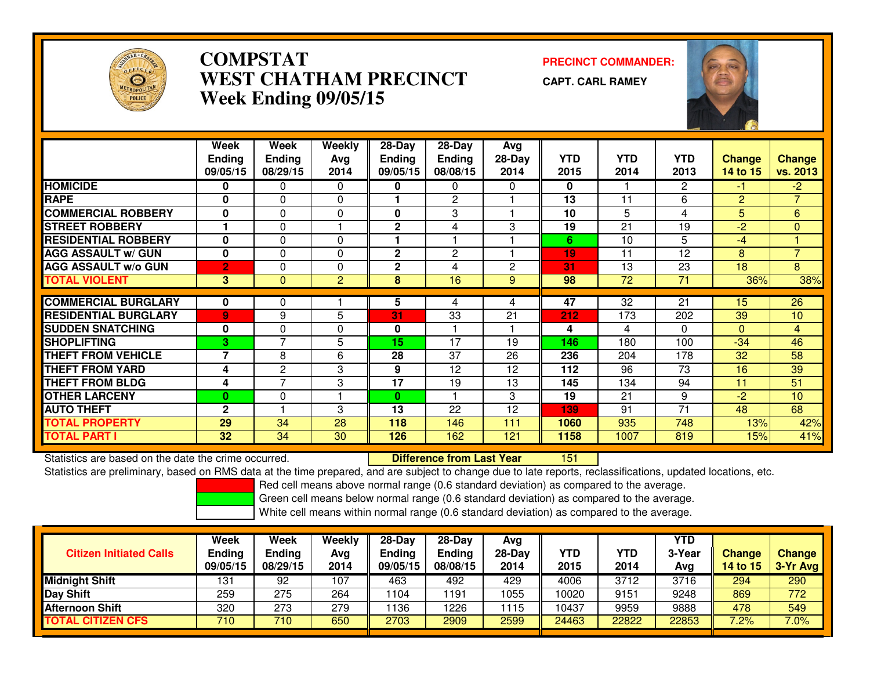

# **COMPSTAT PRECINCT COMMANDER: WEST CHATHAM PRECINCTWeek Ending 09/05/15**

**CAPT. CARL RAMEY**



|                             | Week           | Week           | Weekly         | $28 - Day$    | $28 - Day$      | Avg      |            |            |              |               |                |
|-----------------------------|----------------|----------------|----------------|---------------|-----------------|----------|------------|------------|--------------|---------------|----------------|
|                             | <b>Ending</b>  | <b>Ending</b>  | Avg            | <b>Ending</b> | <b>Ending</b>   | $28-Day$ | <b>YTD</b> | <b>YTD</b> | <b>YTD</b>   | <b>Change</b> | <b>Change</b>  |
|                             | 09/05/15       | 08/29/15       | 2014           | 09/05/15      | 08/08/15        | 2014     | 2015       | 2014       | 2013         | 14 to 15      | vs. 2013       |
| <b>HOMICIDE</b>             | 0              | 0              | $\Omega$       | 0             | 0               | 0        | 0          |            | $\mathbf{2}$ | $-1$          | $-2$           |
| <b>RAPE</b>                 | $\bf{0}$       | 0              | $\Omega$       |               | $\mathbf{c}$    |          | 13         | 11         | 6            | 2             | $\overline{7}$ |
| <b>COMMERCIAL ROBBERY</b>   | $\bf{0}$       | $\Omega$       | 0              | $\bf{0}$      | 3               |          | 10         | 5.         | 4            | 5             | 6              |
| <b>STREET ROBBERY</b>       |                | 0              |                | $\mathbf{2}$  | 4               | 3        | 19         | 21         | 19           | $-2$          | $\mathbf 0$    |
| <b>RESIDENTIAL ROBBERY</b>  | $\bf{0}$       | $\Omega$       | $\Omega$       | 1             |                 |          | 6          | 10         | 5            | $-4$          |                |
| <b>AGG ASSAULT W/ GUN</b>   | $\bf{0}$       | $\Omega$       | $\Omega$       | $\mathbf{2}$  | $\overline{2}$  |          | 19         | 11         | 12           | 8             | $\overline{7}$ |
| <b>AGG ASSAULT w/o GUN</b>  | $\overline{2}$ | 0              | $\Omega$       | $\mathbf 2$   | 4               | 2        | 31         | 13         | 23           | 18            | 8              |
| <b>TOTAL VIOLENT</b>        | 3 <sup>1</sup> | $\Omega$       | $\overline{2}$ | 8             | 16              | 9        | 98         | 72         | 71           | 36%           | 38%            |
|                             |                |                |                |               |                 |          |            |            |              |               |                |
| <b>COMMERCIAL BURGLARY</b>  | 0              | 0              |                | 5             | 4               | 4        | 47         | 32         | 21           | 15            | 26             |
| <b>RESIDENTIAL BURGLARY</b> | $\overline{9}$ | 9              | 5              | 31            | 33              | 21       | 212        | 173        | 202          | 39            | 10             |
| <b>SUDDEN SNATCHING</b>     | 0              | $\mathbf 0$    | 0              | 0             |                 |          | 4          | 4          | $\Omega$     | $\Omega$      | $\overline{4}$ |
| <b>SHOPLIFTING</b>          | $\mathbf{3}$   | $\overline{7}$ | 5              | 15            | $\overline{17}$ | 19       | 146        | 180        | 100          | $-34$         | 46             |
| <b>THEFT FROM VEHICLE</b>   | $\overline{ }$ | 8              | 6              | 28            | 37              | 26       | 236        | 204        | 178          | 32            | 58             |
| <b>THEFT FROM YARD</b>      | 4              | 2              | 3              | 9             | 12              | 12       | 112        | 96         | 73           | 16            | 39             |
| <b>THEFT FROM BLDG</b>      | 4              | $\overline{7}$ | 3              | 17            | 19              | 13       | 145        | 134        | 94           | 11            | 51             |
| <b>OTHER LARCENY</b>        | $\bf{0}$       | 0              |                | 0             |                 | 3        | 19         | 21         | 9            | $-2$          | 10             |
| <b>AUTO THEFT</b>           | $\mathbf{2}$   |                | 3              | 13            | 22              | 12       | 139        | 91         | 71           | 48            | 68             |
| <b>TOTAL PROPERTY</b>       | 29             | 34             | 28             | 118           | 146             | 111      | 1060       | 935        | 748          | 13%           | 42%            |
| <b>TOTAL PART I</b>         | 32             | 34             | 30             | 126           | 162             | 121      | 1158       | 1007       | 819          | 15%           | 41%            |

Statistics are based on the date the crime occurred. **Difference from Last Year**  <sup>151</sup>Statistics are preliminary, based on RMS data at the time prepared, and are subject to change due to late reports, reclassifications, updated locations, etc.

Red cell means above normal range (0.6 standard deviation) as compared to the average.

Green cell means below normal range (0.6 standard deviation) as compared to the average.

| <b>Citizen Initiated Calls</b> | Week<br><b>Ending</b><br>09/05/15 | <b>Week</b><br><b>Ending</b><br>08/29/15 | Weekly<br>Avg<br>2014 | $28-Dav$<br>Ending<br>09/05/15 | $28-Day$<br><b>Ending</b><br>08/08/15 | Avg<br>$28-Day$<br>2014 | YTD<br>2015 | <b>YTD</b><br>2014 | YTD<br>3-Year<br>Avg | <b>Change</b><br>14 to 15 | <b>Change</b><br>3-Yr Avg |
|--------------------------------|-----------------------------------|------------------------------------------|-----------------------|--------------------------------|---------------------------------------|-------------------------|-------------|--------------------|----------------------|---------------------------|---------------------------|
| <b>Midnight Shift</b>          | 131                               | 92                                       | 107                   | 463                            | 492                                   | 429                     | 4006        | 3712               | 3716                 | 294                       | 290                       |
| <b>Day Shift</b>               | 259                               | 275                                      | 264                   | 104                            | 191                                   | 1055                    | 10020       | 9151               | 9248                 | 869                       | 772                       |
| Afternoon Shift                | 320                               | 273                                      | 279                   | 136                            | 1226                                  | 1115                    | 10437       | 9959               | 9888                 | 478                       | 549                       |
| <b>TOTAL CITIZEN CFS</b>       | 710                               | 710                                      | 650                   | 2703                           | 2909                                  | 2599                    | 24463       | 22822              | 22853                | 7.2%                      | 7.0%                      |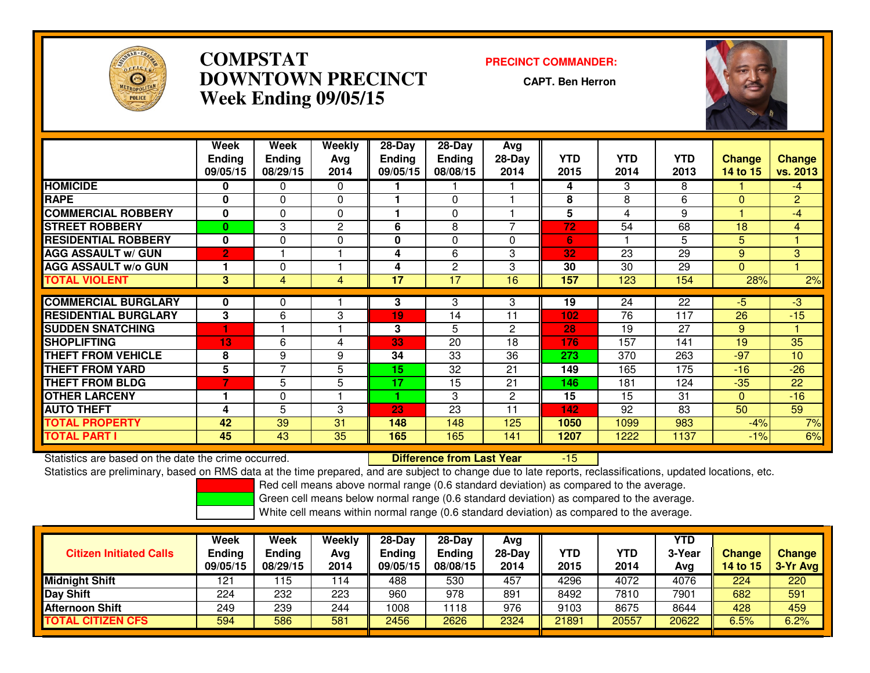

# **COMPSTAT PRECINCT COMMANDER: DOWNTOWN PRECINCTWeek Ending 09/05/15**

**CAPT. Ben Herron**



|                             | Week           | Week           | Weekly       | $28 - Day$    | $28 - Day$    | <b>Avg</b>   |      |                 |            |               |                |
|-----------------------------|----------------|----------------|--------------|---------------|---------------|--------------|------|-----------------|------------|---------------|----------------|
|                             | <b>Ending</b>  | <b>Ending</b>  | Avg          | <b>Ending</b> | <b>Ending</b> | $28-Day$     | YTD  | <b>YTD</b>      | <b>YTD</b> | <b>Change</b> | <b>Change</b>  |
|                             | 09/05/15       | 08/29/15       | 2014         | 09/05/15      | 08/08/15      | 2014         | 2015 | 2014            | 2013       | 14 to 15      | vs. 2013       |
| <b>HOMICIDE</b>             | $\bf{0}$       | 0              | $\Omega$     |               |               |              | 4    | 3               | 8          |               | $-4$           |
| <b>RAPE</b>                 | 0              | $\Omega$       | $\Omega$     |               | 0             |              | 8    | 8               | 6          | $\Omega$      | $\overline{2}$ |
| <b>COMMERCIAL ROBBERY</b>   | 0              | 0              | 0            |               | 0             |              | 5    | 4               | 9          |               | $-4$           |
| <b>STREET ROBBERY</b>       | $\bf{0}$       | 3              | $\mathbf{2}$ | 6             | 8             | 7            | 72   | 54              | 68         | 18            | 4              |
| <b>RESIDENTIAL ROBBERY</b>  | $\bf{0}$       | $\Omega$       | $\Omega$     | $\mathbf{0}$  | 0             | 0            | 6    |                 | 5          | 5             |                |
| <b>AGG ASSAULT w/ GUN</b>   | $\overline{2}$ |                |              | 4             | 6             | 3            | 32   | 23              | 29         | 9             | 3              |
| <b>AGG ASSAULT w/o GUN</b>  |                | 0              |              | 4             | 2             | 3            | 30   | 30              | 29         | $\Omega$      |                |
| <b>TOTAL VIOLENT</b>        | 3              | 4              | 4            | 17            | 17            | 16           | 157  | 123             | 154        | 28%           | 2%             |
|                             |                |                |              |               |               |              |      |                 |            |               |                |
| <b>COMMERCIAL BURGLARY</b>  | 0              | 0              |              | 3             | 3             | 3            | 19   | $\overline{24}$ | 22         | -5            | $-3$           |
| <b>RESIDENTIAL BURGLARY</b> | 3              | 6              | 3            | 19            | 14            | 11           | 102  | 76              | 117        | 26            | $-15$          |
| <b>SUDDEN SNATCHING</b>     |                |                |              | 3             | 5             | $\mathbf{2}$ | 28   | 19              | 27         | 9             |                |
| <b>SHOPLIFTING</b>          | 13             | 6              | 4            | 33            | 20            | 18           | 176  | 157             | 141        | 19            | 35             |
| <b>THEFT FROM VEHICLE</b>   | 8              | 9              | 9            | 34            | 33            | 36           | 273  | 370             | 263        | $-97$         | 10             |
| <b>THEFT FROM YARD</b>      | 5              | $\overline{7}$ | 5            | 15            | 32            | 21           | 149  | 165             | 175        | $-16$         | $-26$          |
| <b>THEFT FROM BLDG</b>      | 7              | 5              | 5            | 17            | 15            | 21           | 146  | 181             | 124        | $-35$         | 22             |
| <b>OTHER LARCENY</b>        |                | 0              |              |               | 3             | $\mathbf{2}$ | 15   | 15              | 31         | $\Omega$      | $-16$          |
| <b>AUTO THEFT</b>           | 4              | 5              | 3            | 23            | 23            | 11           | 142  | 92              | 83         | 50            | 59             |
| <b>TOTAL PROPERTY</b>       | 42             | 39             | 31           | 148           | 148           | 125          | 1050 | 1099            | 983        | $-4%$         | 7%             |
| <b>TOTAL PART I</b>         | 45             | 43             | 35           | 165           | 165           | 141          | 1207 | 1222            | 1137       | $-1%$         | 6%             |

Statistics are based on the date the crime occurred. **Difference from Last Year**  -15Statistics are preliminary, based on RMS data at the time prepared, and are subject to change due to late reports, reclassifications, updated locations, etc.

Red cell means above normal range (0.6 standard deviation) as compared to the average.

Green cell means below normal range (0.6 standard deviation) as compared to the average.

| <b>Citizen Initiated Calls</b> | Week<br><b>Ending</b><br>09/05/15 | Week<br><b>Ending</b><br>08/29/15 | Weekly<br>Avg<br>2014 | 28-Day<br>Ending<br>09/05/15 | 28-Day<br><b>Ending</b><br>08/08/15 | Avg<br>$28-Day$<br>2014 | <b>YTD</b><br>2015 | YTD<br>2014 | YTD<br>3-Year<br>Avg | Change<br><b>14 to 15</b> | Change<br>3-Yr Avg |
|--------------------------------|-----------------------------------|-----------------------------------|-----------------------|------------------------------|-------------------------------------|-------------------------|--------------------|-------------|----------------------|---------------------------|--------------------|
| <b>Midnight Shift</b>          | 121                               | 15                                | 114                   | 488                          | 530                                 | 457                     | 4296               | 4072        | 4076                 | 224                       | 220                |
| Day Shift                      | 224                               | 232                               | 223                   | 960                          | 978                                 | 891                     | 8492               | 7810        | 7901                 | 682                       | 591                |
| <b>Afternoon Shift</b>         | 249                               | 239                               | 244                   | 1008                         | 118                                 | 976                     | 9103               | 8675        | 8644                 | 428                       | 459                |
| <b>TOTAL CITIZEN CFS</b>       | 594                               | 586                               | 581                   | 2456                         | 2626                                | 2324                    | 21891              | 20557       | 20622                | $6.5\%$                   | 6.2%               |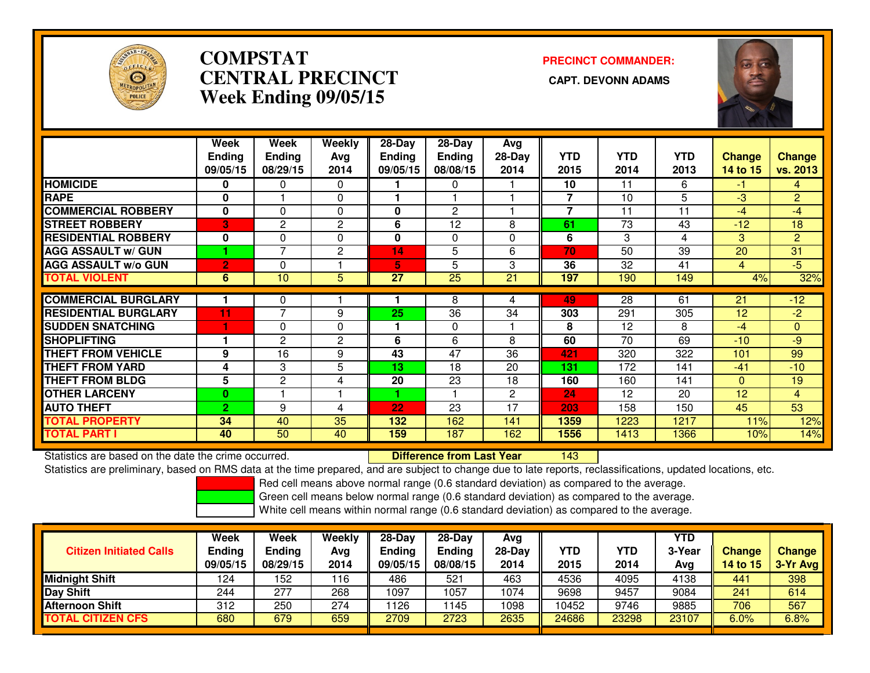

# **COMPSTATCENTRAL PRECINCT Week Ending 09/05/15**

**PRECINCT COMMANDER:**



|                             | Week           | Week                | Weekly         | 28-Day        | 28-Day          | Avg          |            |            |            |                |                |
|-----------------------------|----------------|---------------------|----------------|---------------|-----------------|--------------|------------|------------|------------|----------------|----------------|
|                             | <b>Ending</b>  | <b>Ending</b>       | Avg            | <b>Ending</b> | <b>Ending</b>   | $28-Day$     | <b>YTD</b> | <b>YTD</b> | <b>YTD</b> | <b>Change</b>  | <b>Change</b>  |
|                             | 09/05/15       | 08/29/15            | 2014           | 09/05/15      | 08/08/15        | 2014         | 2015       | 2014       | 2013       | 14 to 15       | vs. 2013       |
| <b>HOMICIDE</b>             | 0              | 0                   | $\Omega$       |               | 0               |              | 10         | 11         | 6          | $-1$           | 4              |
| <b>RAPE</b>                 | 0              |                     | $\Omega$       |               |                 |              | 7          | 10         | 5          | $-3$           | $\overline{2}$ |
| <b>COMMERCIAL ROBBERY</b>   | $\mathbf 0$    | $\Omega$            | $\Omega$       | 0             | $\overline{2}$  |              | 7          | 11         | 11         | $-4$           | -4             |
| <b>STREET ROBBERY</b>       | 3              | 2                   | $\mathbf{2}$   | 6             | 12              | 8            | 61         | 73         | 43         | $-12$          | 18             |
| <b>RESIDENTIAL ROBBERY</b>  | $\mathbf 0$    | 0                   | $\Omega$       | $\mathbf{0}$  | $\Omega$        | $\Omega$     | 6          | 3          | 4          | 3              | $\overline{2}$ |
| <b>AGG ASSAULT w/ GUN</b>   |                | $\overline{7}$      | $\overline{2}$ | 14            | 5               | 6            | 70         | 50         | 39         | 20             | 31             |
| <b>AGG ASSAULT w/o GUN</b>  | $\overline{2}$ | 0                   |                | 5             | 5               | 3            | 36         | 32         | 41         | $\overline{4}$ | $-5$           |
| <b>TOTAL VIOLENT</b>        | 6              | 10                  | 5              | 27            | $\overline{25}$ | 21           | 197        | 190        | 149        | 4%             | 32%            |
| <b>COMMERCIAL BURGLARY</b>  |                |                     |                |               | 8               | 4            | 49         | 28         | 61         | 21             | $-12$          |
|                             |                | 0<br>$\overline{7}$ |                |               |                 |              |            |            |            |                |                |
| <b>RESIDENTIAL BURGLARY</b> | 11             |                     | 9              | 25            | 36              | 34           | 303        | 291        | 305        | 12             | $-2$           |
| <b>SUDDEN SNATCHING</b>     |                | 0                   | $\Omega$       |               | $\mathbf{0}$    |              | 8          | 12         | 8          | -4             | $\Omega$       |
| <b>SHOPLIFTING</b>          |                | $\overline{c}$      | $\overline{2}$ | 6             | 6               | 8            | 60         | 70         | 69         | $-10$          | $-9$           |
| <b>THEFT FROM VEHICLE</b>   | 9              | 16                  | 9              | 43            | 47              | 36           | 421        | 320        | 322        | 101            | 99             |
| <b>THEFT FROM YARD</b>      | 4              | 3                   | 5              | 13            | 18              | 20           | 131        | 172        | 141        | $-41$          | $-10$          |
| <b>THEFT FROM BLDG</b>      | 5              | $\overline{2}$      | 4              | 20            | 23              | 18           | 160        | 160        | 141        | $\Omega$       | 19             |
| <b>OTHER LARCENY</b>        | $\bf{0}$       |                     |                |               |                 | $\mathbf{2}$ | 24         | 12         | 20         | 12             | $\overline{4}$ |
| <b>AUTO THEFT</b>           | $\overline{2}$ | 9                   | 4              | 22            | 23              | 17           | 203        | 158        | 150        | 45             | 53             |
| <b>TOTAL PROPERTY</b>       | 34             | 40                  | 35             | 132           | 162             | 141          | 1359       | 1223       | 1217       | 11%            | 12%            |
| <b>TOTAL PART I</b>         | 40             | 50                  | 40             | 159           | 187             | 162          | 1556       | 1413       | 1366       | 10%            | 14%            |

Statistics are based on the date the crime occurred. **Difference from Last Year** 

Statistics are based on the date the crime occurred. **Example 20 Defference from Last Year 143 PM**<br>Statistics are preliminary, based on RMS data at the time prepared, and are subject to change due to late reports, reclassi

Red cell means above normal range (0.6 standard deviation) as compared to the average.

Green cell means below normal range (0.6 standard deviation) as compared to the average.

| <b>Citizen Initiated Calls</b> | Week<br><b>Ending</b><br>09/05/15 | <b>Week</b><br><b>Ending</b><br>08/29/15 | Weekly<br>Avg<br>2014 | $28-Dav$<br><b>Ending</b><br>09/05/15 | $28-Day$<br><b>Ending</b><br>08/08/15 | Avg<br>$28-Day$<br>2014 | YTD<br>2015 | <b>YTD</b><br>2014 | YTD<br>3-Year<br>Avg | <b>Change</b><br>14 to 15 | <b>Change</b><br>3-Yr Avg |
|--------------------------------|-----------------------------------|------------------------------------------|-----------------------|---------------------------------------|---------------------------------------|-------------------------|-------------|--------------------|----------------------|---------------------------|---------------------------|
| <b>Midnight Shift</b>          | 124                               | 52                                       | 116                   | 486                                   | 521                                   | 463                     | 4536        | 4095               | 4138                 | 441                       | 398                       |
| Day Shift                      | 244                               | 277                                      | 268                   | 1097                                  | 1057                                  | 1074                    | 9698        | 9457               | 9084                 | 241                       | 614                       |
| <b>Afternoon Shift</b>         | 312                               | 250                                      | 274                   | 126                                   | 145                                   | 1098                    | 10452       | 9746               | 9885                 | 706                       | 567                       |
| <b>TOTAL CITIZEN CFS</b>       | 680                               | 679                                      | 659                   | 2709                                  | 2723                                  | 2635                    | 24686       | 23298              | 23107                | 6.0%                      | 6.8%                      |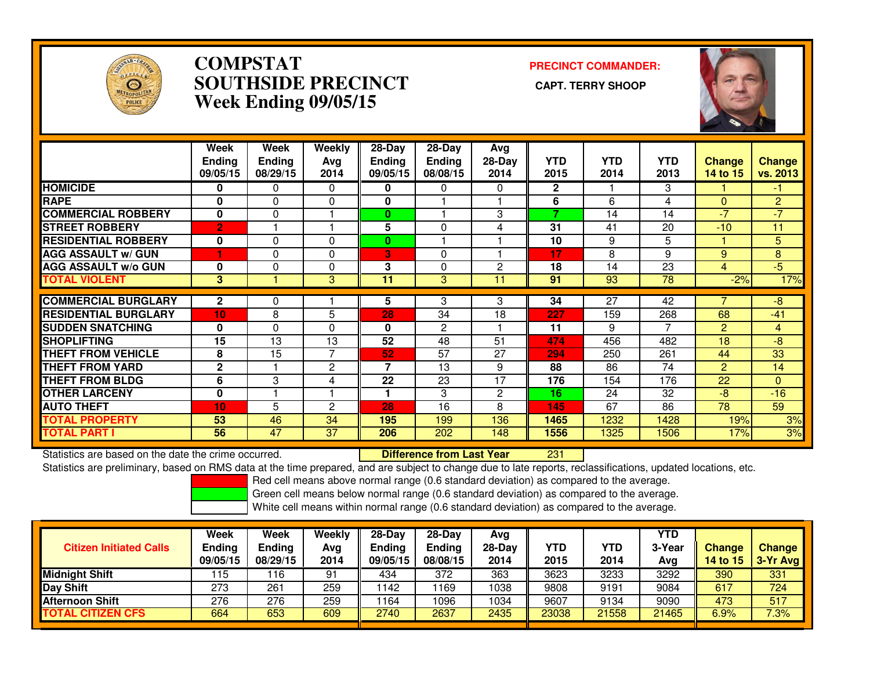

### **COMPSTAT PRECINCT COMMANDER: SOUTHSIDE PRECINCT CAPT. TERRY SHOOPWeek Ending 09/05/15**



|                             | Week<br><b>Ending</b><br>09/05/15 | Week<br><b>Ending</b><br>08/29/15 | Weekly<br>Avg<br>2014 | $28-Day$<br><b>Endina</b><br>09/05/15 | $28-Day$<br><b>Ending</b><br>08/08/15 | Avg<br>28-Day<br>2014 | <b>YTD</b><br>2015       | <b>YTD</b><br>2014 | <b>YTD</b><br>2013 | <b>Change</b><br>14 to 15 | Change<br>vs. 2013                   |
|-----------------------------|-----------------------------------|-----------------------------------|-----------------------|---------------------------------------|---------------------------------------|-----------------------|--------------------------|--------------------|--------------------|---------------------------|--------------------------------------|
| <b>HOMICIDE</b>             | 0                                 | 0                                 | $\Omega$              | 0                                     | 0                                     | 0                     | $\overline{2}$           |                    | 3                  |                           | $\blacktriangle \blacktriangleright$ |
| <b>RAPE</b>                 | $\bf{0}$                          | $\Omega$                          | $\Omega$              | 0                                     |                                       |                       | 6                        | 6                  | 4                  | 0                         | $\overline{2}$                       |
| <b>ICOMMERCIAL ROBBERY</b>  | $\bf{0}$                          | $\Omega$                          |                       | 0                                     |                                       | 3                     | $\overline{\phantom{a}}$ | 14                 | 14                 | $\overline{\mathcal{L}}$  | $-7$                                 |
| <b>STREET ROBBERY</b>       | $\overline{2}$                    |                                   |                       | 5                                     | 0                                     | 4                     | 31                       | 41                 | 20                 | $-10$                     | 11                                   |
| <b>RESIDENTIAL ROBBERY</b>  | 0                                 | $\Omega$                          | $\Omega$              | $\bf{0}$                              |                                       |                       | 10                       | 9                  | 5                  |                           | 5                                    |
| <b>AGG ASSAULT w/ GUN</b>   |                                   | 0                                 | $\Omega$              | 3                                     | 0                                     |                       | 17                       | 8                  | 9                  | 9                         | 8                                    |
| <b>AGG ASSAULT w/o GUN</b>  | $\bf{0}$                          | $\Omega$                          | $\Omega$              | 3                                     | 0                                     | 2                     | 18                       | 14                 | 23                 | 4                         | $-5$                                 |
| <b>TOTAL VIOLENT</b>        | $3\phantom{a}$                    |                                   | 3                     | 11                                    | 3                                     | 11                    | 91                       | 93                 | 78                 | $-2%$                     | 17%                                  |
| <b>COMMERCIAL BURGLARY</b>  | $\mathbf{2}$                      | 0                                 |                       | 5                                     | 3                                     | 3                     | 34                       | 27                 | 42                 |                           | -8                                   |
|                             |                                   |                                   |                       |                                       |                                       |                       |                          |                    |                    |                           |                                      |
| <b>RESIDENTIAL BURGLARY</b> | 10                                | 8                                 | 5                     | 28                                    | 34                                    | 18                    | 227                      | 159                | 268                | 68                        | $-41$                                |
| <b>SUDDEN SNATCHING</b>     | 0                                 | $\Omega$                          | $\Omega$              | 0                                     | $\overline{c}$                        |                       | 11                       | 9                  | 7                  | $\overline{2}$            | 4                                    |
| <b>SHOPLIFTING</b>          | 15                                | 13                                | 13                    | 52                                    | 48                                    | 51                    | 474                      | 456                | 482                | 18                        | $-8$                                 |
| <b>THEFT FROM VEHICLE</b>   | 8                                 | 15                                | 7                     | 52                                    | 57                                    | 27                    | 294                      | 250                | 261                | 44                        | 33                                   |
| <b>THEFT FROM YARD</b>      | $\mathbf{2}$                      |                                   | 2                     | $\overline{7}$                        | 13                                    | 9                     | 88                       | 86                 | 74                 | $\overline{2}$            | 14                                   |
| <b>THEFT FROM BLDG</b>      | 6                                 | 3                                 | 4                     | 22                                    | 23                                    | 17                    | 176                      | 154                | 176                | 22                        | $\overline{0}$                       |
| <b>OTHER LARCENY</b>        | $\mathbf 0$                       |                                   |                       |                                       | 3                                     | $\overline{2}$        | 16                       | 24                 | 32                 | $-8$                      | $-16$                                |
| <b>AUTO THEFT</b>           | 10                                | 5                                 | $\overline{2}$        | 28                                    | 16                                    | 8                     | 145                      | 67                 | 86                 | 78                        | 59                                   |
| <b>TOTAL PROPERTY</b>       | 53                                | 46                                | 34                    | 195                                   | 199                                   | 136                   | 1465                     | 1232               | 1428               | 19%                       | 3%                                   |
| <b>TOTAL PART I</b>         | 56                                | 47                                | 37                    | 206                                   | 202                                   | 148                   | 1556                     | 1325               | 1506               | 17%                       | 3%                                   |

Statistics are based on the date the crime occurred. **Difference from Last Year** 

<sup>231</sup>

Statistics are preliminary, based on RMS data at the time prepared, and are subject to change due to late reports, reclassifications, updated locations, etc.

Red cell means above normal range (0.6 standard deviation) as compared to the average.

Green cell means below normal range (0.6 standard deviation) as compared to the average.

| <b>Citizen Initiated Calls</b> | <b>Week</b><br><b>Ending</b><br>09/05/15 | <b>Week</b><br><b>Ending</b><br>08/29/15 | Weekly<br>Avg<br>2014 | $28-Dav$<br><b>Ending</b><br>09/05/15 | $28-Dav$<br><b>Ending</b><br>08/08/15 | Ava<br>28-Dav<br>2014 | YTD<br>2015 | YTD<br>2014 | YTD<br>3-Year<br>Ava | <b>Change</b><br><b>14 to 15</b> | <b>Change</b><br>3-Yr Avg |
|--------------------------------|------------------------------------------|------------------------------------------|-----------------------|---------------------------------------|---------------------------------------|-----------------------|-------------|-------------|----------------------|----------------------------------|---------------------------|
| <b>Midnight Shift</b>          | 15                                       | 16                                       | 91                    | 434                                   | 372                                   | 363                   | 3623        | 3233        | 3292                 | 390                              | 331                       |
| <b>Day Shift</b>               | 273                                      | 261                                      | 259                   | 142                                   | 169                                   | 1038                  | 9808        | 9191        | 9084                 | 617                              | 724                       |
| <b>Afternoon Shift</b>         | 276                                      | 276                                      | 259                   | 164                                   | 1096                                  | 1034                  | 9607        | 9134        | 9090                 | 473                              | 517                       |
| <b>TOTAL CITIZEN CFS</b>       | 664                                      | 653                                      | 609                   | 2740                                  | 2637                                  | 2435                  | 23038       | 21558       | 21465                | 6.9%                             | 7.3%                      |